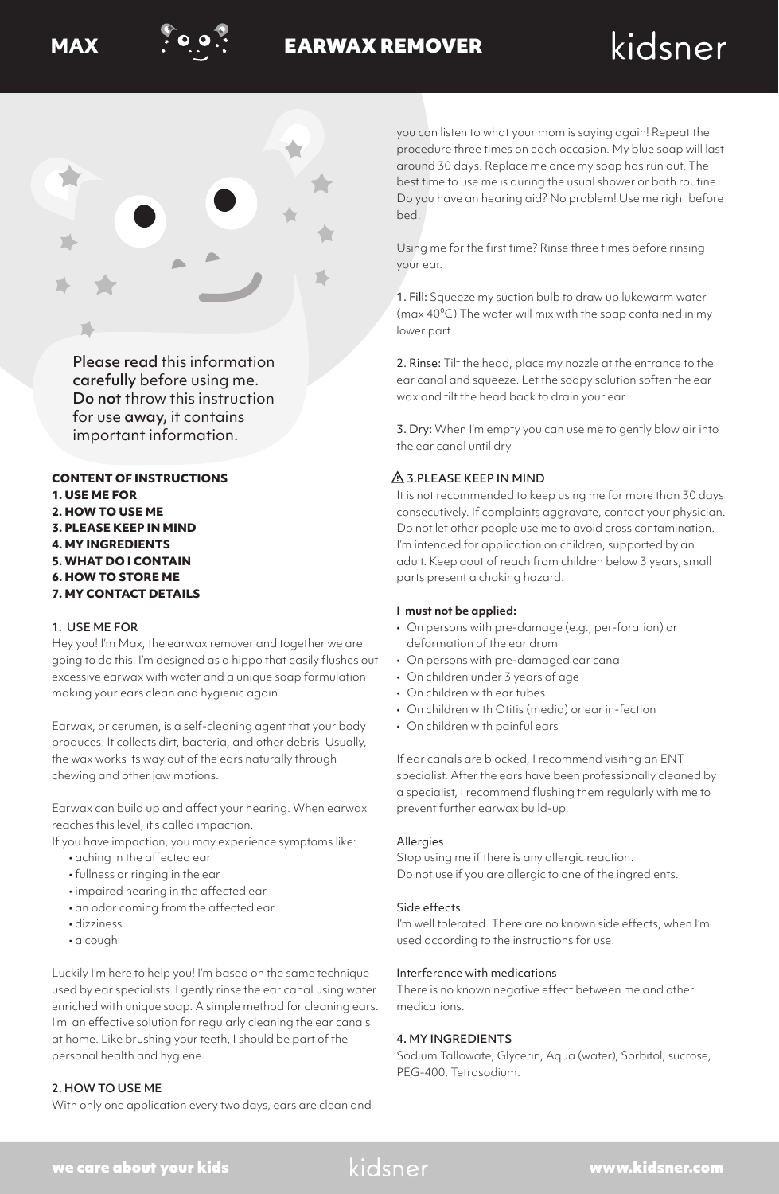

# **MAX POPE EARWAX REMOVER**

# kidsner



Please read this information carefully before using me. Do not throw this instruction for use away, it contains important information.

# **CONTENT OF INSTRUCTIONS 1. USE ME FOR 2. HOW TO USE ME 3. PLEASE KEEP IN MIND 4. MY INGREDIENTS 5. WHAT DO I CONTAIN 6. HOW TO STORE ME 7. MY CONTACT DETAILS**

# 1. USE ME FOR

Hey you! I'm Max, the earwax remover and together we are going to do this! I'm designed as a hippo that easily flushes out excessive earwax with water and a unique soap formulation making your ears clean and hygienic again.

Earwax, or cerumen, is a self-cleaning agent that your body produces. It collects dirt, bacteria, and other debris. Usually, the wax works its way out of the ears naturally through chewing and other jaw motions.

Earwax can build up and affect your hearing. When earwax reaches this level, it's called impaction.

- If you have impaction, you may experience symptoms like:
	- aching in the affected ear
	- fullness or ringing in the ear
	- impaired hearing in the affected ear
	- an odor coming from the affected ear
	- dizziness
	- a cough

Luckily I'm here to help you! I'm based on the same technique used by ear specialists. I gently rinse the ear canal using water enriched with unique soap. A simple method for cleaning ears. I'm an effective solution for regularly cleaning the ear canals at home. Like brushing your teeth, I should be part of the personal health and hygiene.

# 2. HOW TO USE ME

With only one application every two days, ears are clean and

you can listen to what your mom is saying again! Repeat the procedure three times on each occasion. My blue soap will last around 30 days. Replace me once my soap has run out. The best time to use me is during the usual shower or bath routine. Do you have an hearing aid? No problem! Use me right before bed.

Using me for the first time? Rinse three times before rinsing your ear.

1. Fill: Squeeze my suction bulb to draw up lukewarm water (max 40⁰C) The water will mix with the soap contained in my lower part

2. Rinse: Tilt the head, place my nozzle at the entrance to the ear canal and squeeze. Let the soapy solution soften the ear wax and tilt the head back to drain your ear

3. Dry: When I'm empty you can use me to gently blow air into the ear canal until dry

# $\triangle$  3.PLEASE KEEP IN MIND

It is not recommended to keep using me for more than 30 days consecutively. If complaints aggravate, contact your physician. Do not let other people use me to avoid cross contamination. I'm intended for application on children, supported by an adult. Keep aout of reach from children below 3 years, small parts present a choking hazard.

# **I must not be applied:**

- On persons with pre-damage (e.g., per-foration) or deformation of the ear drum
- On persons with pre-damaged ear canal
- On children under 3 years of age
- On children with ear tubes
- On children with Otitis (media) or ear in-fection
- On children with painful ears

If ear canals are blocked, I recommend visiting an ENT specialist. After the ears have been professionally cleaned by a specialist, I recommend flushing them regularly with me to prevent further earwax build-up.

#### **Allergies**

Stop using me if there is any allergic reaction. Do not use if you are allergic to one of the ingredients.

#### Side effects

I'm well tolerated. There are no known side effects, when I'm used according to the instructions for use.

#### Interference with medications

There is no known negative effect between me and other medications.

# 4. MY INGREDIENTS

Sodium Tallowate, Glycerin, Aqua (water), Sorbitol, sucrose, PEG-400, Tetrasodium.